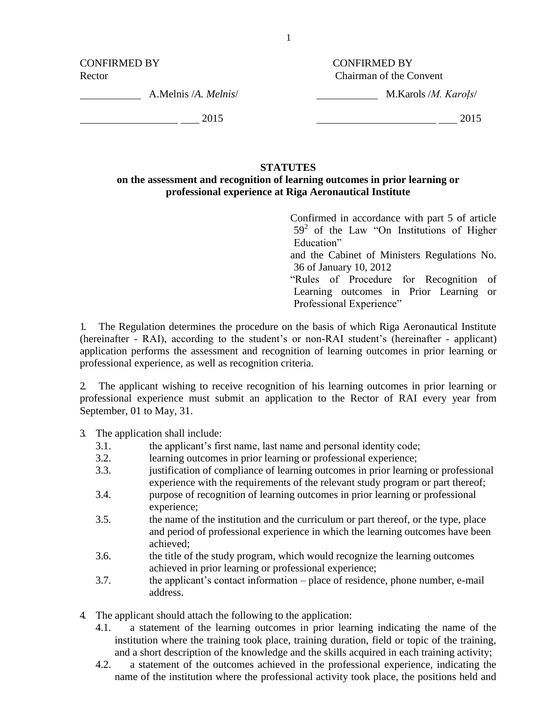CONFIRMED BY CONFIRMED BY

Rector Chairman of the Convent

A.Melnis /*A. Melnis*/

M.Karols /*M. Karoļs*/

2015

2015

## **STATUTES**

## **on the assessment and recognition of learning outcomes in prior learning or professional experience at Riga Aeronautical Institute**

Confirmed in accordance with part 5 of article  $59<sup>2</sup>$  of the Law "On Institutions of Higher Education" and the Cabinet of Ministers Regulations No. 36 of January 10, 2012 "Rules of Procedure for Recognition of Learning outcomes in Prior Learning or

Professional Experience"

1. The Regulation determines the procedure on the basis of which Riga Aeronautical Institute (hereinafter - RAI), according to the student's or non-RAI student's (hereinafter - applicant) application performs the assessment and recognition of learning outcomes in prior learning or professional experience, as well as recognition criteria.

2. The applicant wishing to receive recognition of his learning outcomes in prior learning or professional experience must submit an application to the Rector of RAI every year from September, 01 to May, 31.

- 3. The application shall include:
	- 3.1. the applicant's first name, last name and personal identity code;
	- 3.2. learning outcomes in prior learning or professional experience;
	- 3.3. justification of compliance of learning outcomes in prior learning or professional experience with the requirements of the relevant study program or part thereof;
	- 3.4. purpose of recognition of learning outcomes in prior learning or professional experience;
	- 3.5. the name of the institution and the curriculum or part thereof, or the type, place and period of professional experience in which the learning outcomes have been achieved;
	- 3.6. the title of the study program, which would recognize the learning outcomes achieved in prior learning or professional experience;
	- 3.7. the applicant's contact information place of residence, phone number, e-mail address.
- 4. The applicant should attach the following to the application:
	- 4.1. a statement of the learning outcomes in prior learning indicating the name of the institution where the training took place, training duration, field or topic of the training, and a short description of the knowledge and the skills acquired in each training activity;
	- 4.2. a statement of the outcomes achieved in the professional experience, indicating the name of the institution where the professional activity took place, the positions held and

1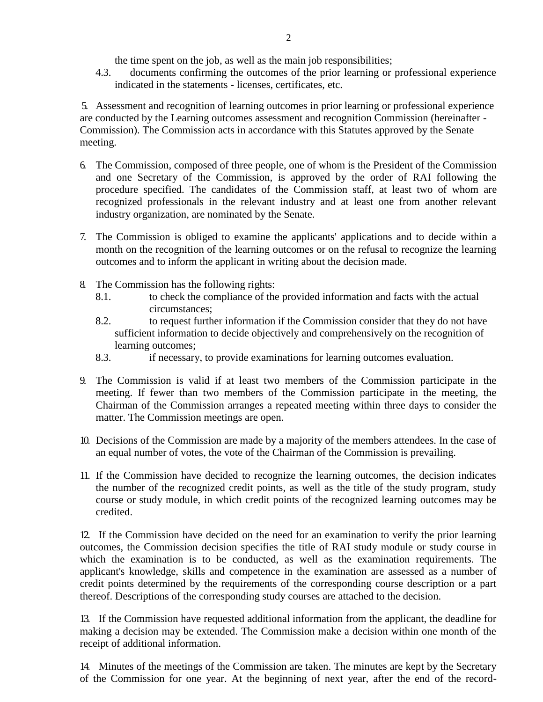the time spent on the job, as well as the main job responsibilities;

4.3. documents confirming the outcomes of the prior learning or professional experience indicated in the statements - licenses, certificates, etc.

5. Assessment and recognition of learning outcomes in prior learning or professional experience are conducted by the Learning outcomes assessment and recognition Commission (hereinafter - Commission). The Commission acts in accordance with this Statutes approved by the Senate meeting.

- 6. The Commission, composed of three people, one of whom is the President of the Commission and one Secretary of the Commission, is approved by the order of RAI following the procedure specified. The candidates of the Commission staff, at least two of whom are recognized professionals in the relevant industry and at least one from another relevant industry organization, are nominated by the Senate.
- 7. The Commission is obliged to examine the applicants' applications and to decide within a month on the recognition of the learning outcomes or on the refusal to recognize the learning outcomes and to inform the applicant in writing about the decision made.
- 8. The Commission has the following rights:
	- 8.1. to check the compliance of the provided information and facts with the actual circumstances;
	- 8.2. to request further information if the Commission consider that they do not have sufficient information to decide objectively and comprehensively on the recognition of learning outcomes;
	- 8.3. if necessary, to provide examinations for learning outcomes evaluation.
- 9. The Commission is valid if at least two members of the Commission participate in the meeting. If fewer than two members of the Commission participate in the meeting, the Chairman of the Commission arranges a repeated meeting within three days to consider the matter. The Commission meetings are open.
- 10. Decisions of the Commission are made by a majority of the members attendees. In the case of an equal number of votes, the vote of the Chairman of the Commission is prevailing.
- 11. If the Commission have decided to recognize the learning outcomes, the decision indicates the number of the recognized credit points, as well as the title of the study program, study course or study module, in which credit points of the recognized learning outcomes may be credited.

12. If the Commission have decided on the need for an examination to verify the prior learning outcomes, the Commission decision specifies the title of RAI study module or study course in which the examination is to be conducted, as well as the examination requirements. The applicant's knowledge, skills and competence in the examination are assessed as a number of credit points determined by the requirements of the corresponding course description or a part thereof. Descriptions of the corresponding study courses are attached to the decision.

13. If the Commission have requested additional information from the applicant, the deadline for making a decision may be extended. The Commission make a decision within one month of the receipt of additional information.

14. Minutes of the meetings of the Commission are taken. The minutes are kept by the Secretary of the Commission for one year. At the beginning of next year, after the end of the record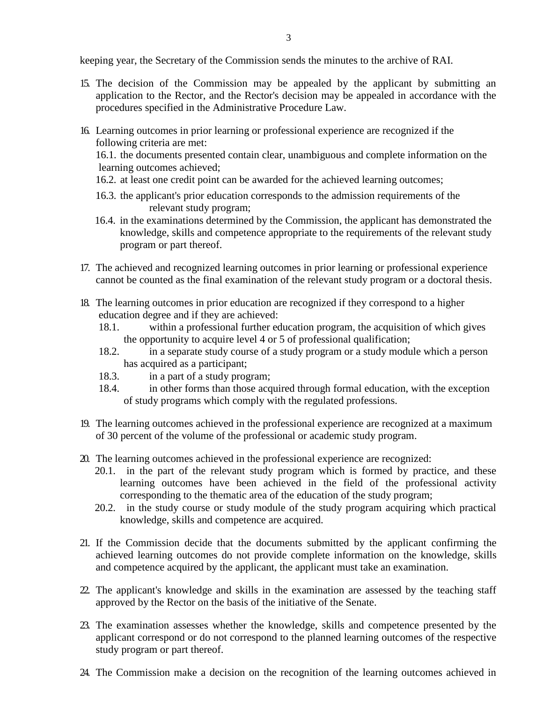keeping year, the Secretary of the Commission sends the minutes to the archive of RAI.

- 15. The decision of the Commission may be appealed by the applicant by submitting an application to the Rector, and the Rector's decision may be appealed in accordance with the procedures specified in the Administrative Procedure Law.
- 16. Learning outcomes in prior learning or professional experience are recognized if the following criteria are met:

16.1. the documents presented contain clear, unambiguous and complete information on the learning outcomes achieved;

- 16.2. at least one credit point can be awarded for the achieved learning outcomes;
- 16.3. the applicant's prior education corresponds to the admission requirements of the relevant study program;
- 16.4. in the examinations determined by the Commission, the applicant has demonstrated the knowledge, skills and competence appropriate to the requirements of the relevant study program or part thereof.
- 17. The achieved and recognized learning outcomes in prior learning or professional experience cannot be counted as the final examination of the relevant study program or a doctoral thesis.
- 18. The learning outcomes in prior education are recognized if they correspond to a higher education degree and if they are achieved:
	- 18.1. within a professional further education program, the acquisition of which gives the opportunity to acquire level 4 or 5 of professional qualification;
	- 18.2. in a separate study course of a study program or a study module which a person has acquired as a participant;
	- 18.3. in a part of a study program;
	- 18.4. in other forms than those acquired through formal education, with the exception of study programs which comply with the regulated professions.
- 19. The learning outcomes achieved in the professional experience are recognized at a maximum of 30 percent of the volume of the professional or academic study program.
- 20. The learning outcomes achieved in the professional experience are recognized:
	- 20.1. in the part of the relevant study program which is formed by practice, and these learning outcomes have been achieved in the field of the professional activity corresponding to the thematic area of the education of the study program;
	- 20.2. in the study course or study module of the study program acquiring which practical knowledge, skills and competence are acquired.
- 21. If the Commission decide that the documents submitted by the applicant confirming the achieved learning outcomes do not provide complete information on the knowledge, skills and competence acquired by the applicant, the applicant must take an examination.
- 22. The applicant's knowledge and skills in the examination are assessed by the teaching staff approved by the Rector on the basis of the initiative of the Senate.
- 23. The examination assesses whether the knowledge, skills and competence presented by the applicant correspond or do not correspond to the planned learning outcomes of the respective study program or part thereof.
- 24. The Commission make a decision on the recognition of the learning outcomes achieved in